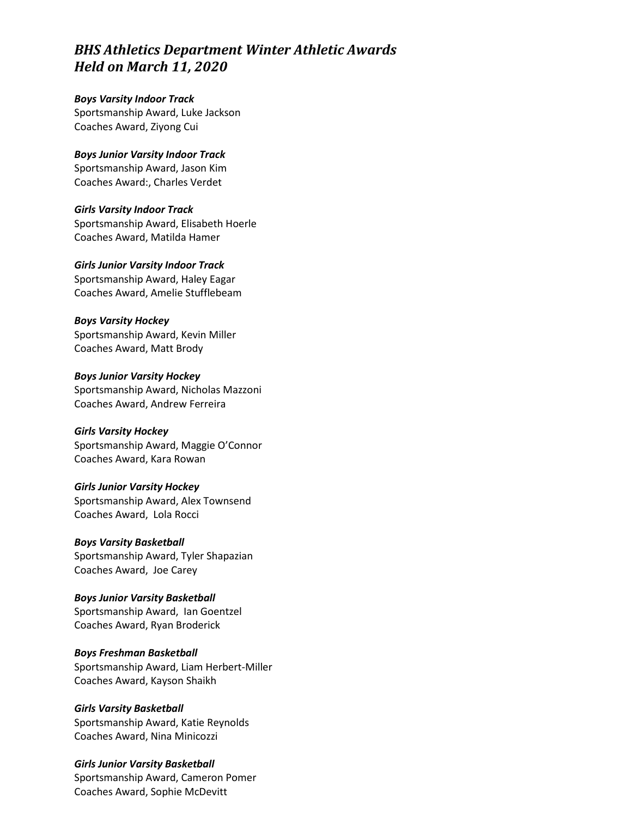# *BHS Athletics Department Winter Athletic Awards Held on March 11, 2020*

*Boys Varsity Indoor Track* Sportsmanship Award, Luke Jackson Coaches Award, Ziyong Cui

*Boys Junior Varsity Indoor Track* Sportsmanship Award, Jason Kim Coaches Award:, Charles Verdet

*Girls Varsity Indoor Track* Sportsmanship Award, Elisabeth Hoerle Coaches Award, Matilda Hamer

*Girls Junior Varsity Indoor Track* Sportsmanship Award, Haley Eagar Coaches Award, Amelie Stufflebeam

*Boys Varsity Hockey* Sportsmanship Award, Kevin Miller Coaches Award, Matt Brody

*Boys Junior Varsity Hockey* Sportsmanship Award, Nicholas Mazzoni Coaches Award, Andrew Ferreira

*Girls Varsity Hockey* Sportsmanship Award, Maggie O'Connor Coaches Award, Kara Rowan

*Girls Junior Varsity Hockey* Sportsmanship Award, Alex Townsend Coaches Award, Lola Rocci

*Boys Varsity Basketball* Sportsmanship Award, Tyler Shapazian Coaches Award, Joe Carey

*Boys Junior Varsity Basketball* Sportsmanship Award, Ian Goentzel Coaches Award, Ryan Broderick

*Boys Freshman Basketball* Sportsmanship Award, Liam Herbert-Miller Coaches Award, Kayson Shaikh

*Girls Varsity Basketball* Sportsmanship Award, Katie Reynolds Coaches Award, Nina Minicozzi

*Girls Junior Varsity Basketball* Sportsmanship Award, Cameron Pomer Coaches Award, Sophie McDevitt